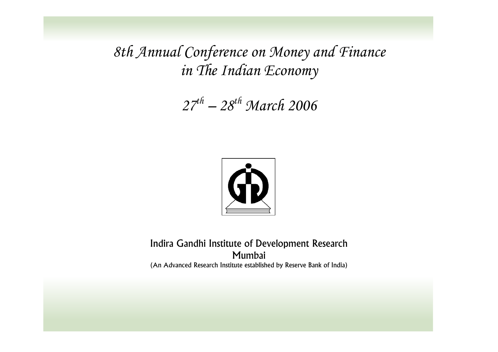*8th Annual Conference on Money and Finance in The Indian Economy* 

*27th – 28th March 2006* 



#### Indira Gandhi Institute of Development Research Mumbai (An Advanced Research Institute established by Reserve Bank of India)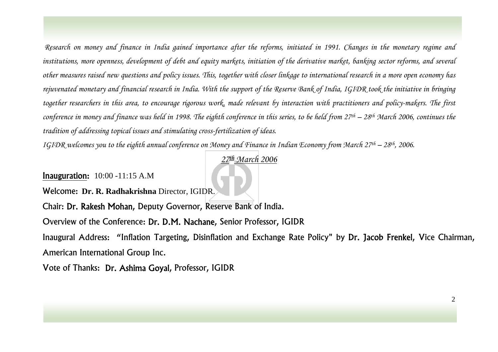*Research on money and finance in India gained importance after the reforms, initiated in 1991. Changes in the monetary regime and institutions, more openness, development of debt and equity markets, initiation of the derivative market, banking sector reforms, and several other measures raised new questions and policy issues. This, together with closer linkage to international research in a more open economy has rejuvenated monetary and financial research in India. With the support of the Reserve Bank of India, IGIDR took the initiative in bringing together researchers in this area, to encourage rigorous work, made relevant by interaction with practitioners and policy-makers. The first conference in money and finance was held in 1998. The eighth conference in this series, to be held from 27th – 28th March 2006, continues the tradition of addressing topical issues and stimulating cross-fertilization of ideas.* 

*IGIDR welcomes you to the eighth annual conference on Money and Finance in Indian Economy from March 27<sup>th</sup> – 28<sup>th</sup>, 2006.* 

*27th March 2006*

Inauguration: 10:00 -11:15 A.M

Welcome: **Dr. R. Radhak rishna** Director, IGIDR.

Chair: Dr. Rakesh Mohan, Deputy Governor, Reserve Bank of India.

Overview of the Conference: Dr. D.M. Nachane, Senior Professor, IGIDR

Inaugural Address: "Inflation Targeting, Disinflation and Exchange Rate Policy" by Dr. Jacob Frenkel, Vice Chairman, American International Group Inc.

Vote of Thanks: Dr. Ashima Goyal, Professor, IGIDR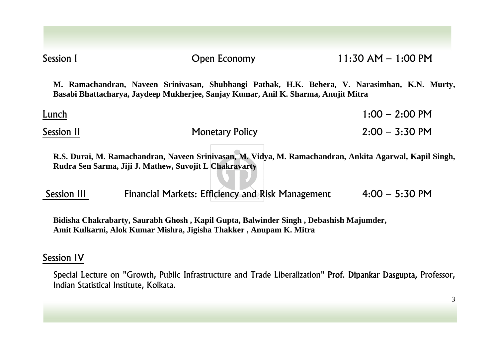| Session I   | <b>Open Economy</b>                                                                                                                                                                 | $11:30$ AM $- 1:00$ PM |
|-------------|-------------------------------------------------------------------------------------------------------------------------------------------------------------------------------------|------------------------|
|             | M. Ramachandran, Naveen Srinivasan, Shubhangi Pathak, H.K. Behera, V. Narasimhan, K.N. Murty,<br>Basabi Bhattacharya, Jaydeep Mukherjee, Sanjay Kumar, Anil K. Sharma, Anujit Mitra |                        |
| Lunch       |                                                                                                                                                                                     | $1:00 - 2:00$ PM       |
| Session II  | <b>Monetary Policy</b>                                                                                                                                                              | $2:00 - 3:30$ PM       |
|             | R.S. Durai, M. Ramachandran, Naveen Srinivasan, M. Vidya, M. Ramachandran, Ankita Agarwal, Kapil Singh,<br>Rudra Sen Sarma, Jiji J. Mathew, Suvojit L Chakravarty                   |                        |
| Session III | Financial Markets: Efficiency and Risk Management                                                                                                                                   | $4:00 - 5:30$ PM       |
|             | Bidisha Chakrabarty, Saurabh Ghosh, Kapil Gupta, Balwinder Singh, Debashish Majumder,<br>Amit Kulkarni, Alok Kumar Mishra, Jigisha Thakker, Anupam K. Mitra                         |                        |

### Session IV

Special Lecture on "Growth, Public Infrastructure and Trade Liberalization" Prof. Dipankar Dasgupta, Professor, Indian Statistical Institute, Kolkata.

3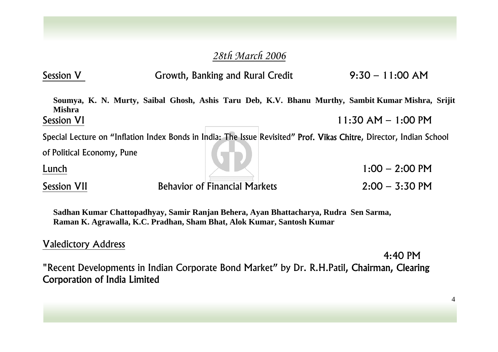## *28th March 2006*

| <b>Session V</b>           | Growth, Banking and Rural Credit | $9:30 - 11:00$ AM                                                                                                    |
|----------------------------|----------------------------------|----------------------------------------------------------------------------------------------------------------------|
| <b>Mishra</b>              |                                  | Soumya, K. N. Murty, Saibal Ghosh, Ashis Taru Deb, K.V. Bhanu Murthy, Sambit Kumar Mishra, Srijit                    |
| <b>Session VI</b>          |                                  | $11:30$ AM $- 1:00$ PM                                                                                               |
|                            |                                  | Special Lecture on "Inflation Index Bonds in India: The Issue Revisited" Prof. Vikas Chitre, Director, Indian School |
| of Political Economy, Pune |                                  |                                                                                                                      |

Lunch 1:00

Session VII Behavior of Financial Markets 2:00 – 3:30 PM

 $1:00 - 2:00$  PM

**Sadhan Kumar Chattopadhyay, Samir Ranjan Behera, Ayan Bhattacharya, Rudra Sen Sarma, Raman K. Agrawalla, K.C. Pradhan, Sham Bhat, Alok Kumar, Santosh Kumar**

## Valedictory Address

4:40 PM "Recent Developments in Indian Corporate Bond Market" by Dr. R.H.Patil, Chairman, Clearing Corporation of India Limited

4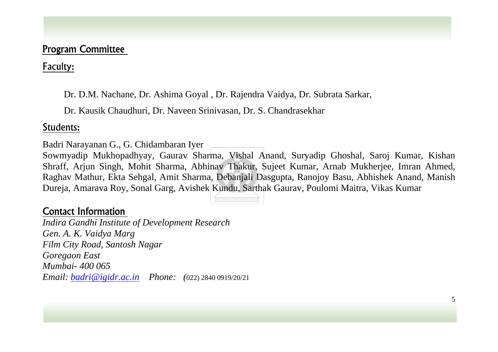## Program Committee

Faculty:

Dr. D.M. Nachane, Dr. Ashima Goyal , Dr. Rajendra Vaidya, Dr. Subrata Sarkar,

Dr. Kausik Chaudhuri, Dr. Naveen Srinivasan, Dr. S. Chandrasekhar

### Students:

Badri Narayanan G., G. Chidambaran Iyer

Sowmyadip Mukhopadhyay, Gaurav Sharma, Vishal Anand, Suryadip Ghoshal, Saroj Kumar, Kishan Shraff, Arjun Singh, Mohit Sharma, Abhinav Thakur, Sujeet Kumar, Arnab Mukherjee, Imran Ahmed, Raghav Mathur, Ekta Sehgal, Amit Sharma, Debanjali Dasgupta, Ranojoy Basu, Abhishek Anand, Manish Dureja, Amarava Roy, Sonal Garg, Avishek Kundu, Sarthak Gaurav, Poulomi Maitra, Vikas Kumar

# Contact Information

*Indira Gandhi Institute of Development Research Gen. A. K. Vaidya Marg Film City Road, Santosh Nagar Goregaon East Mumbai- 400 065 Email: [badri@igidr.ac.in](mailto:badri@igidr.ac.in) Phone: (*022) 2840 0919/20/21